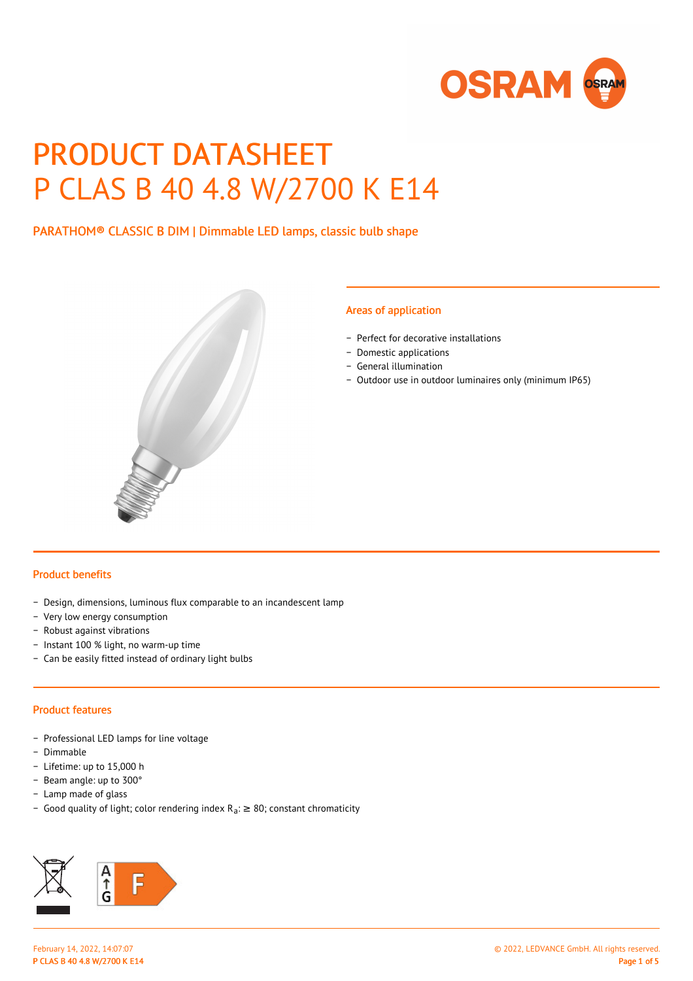

# PRODUCT DATASHEET P CLAS B 40 4.8 W/2700 K E14

PARATHOM® CLASSIC B DIM | Dimmable LED lamps, classic bulb shape



#### Areas of application

- − Perfect for decorative installations
- − Domestic applications
- − General illumination
- − Outdoor use in outdoor luminaires only (minimum IP65)

#### Product benefits

- − Design, dimensions, luminous flux comparable to an incandescent lamp
- − Very low energy consumption
- − Robust against vibrations
- − Instant 100 % light, no warm-up time
- − Can be easily fitted instead of ordinary light bulbs

#### Product features

- − Professional LED lamps for line voltage
- − Dimmable
- − Lifetime: up to 15,000 h
- − Beam angle: up to 300°
- − Lamp made of glass
- Good quality of light; color rendering index R<sub>a</sub>: ≥ 80; constant chromaticity

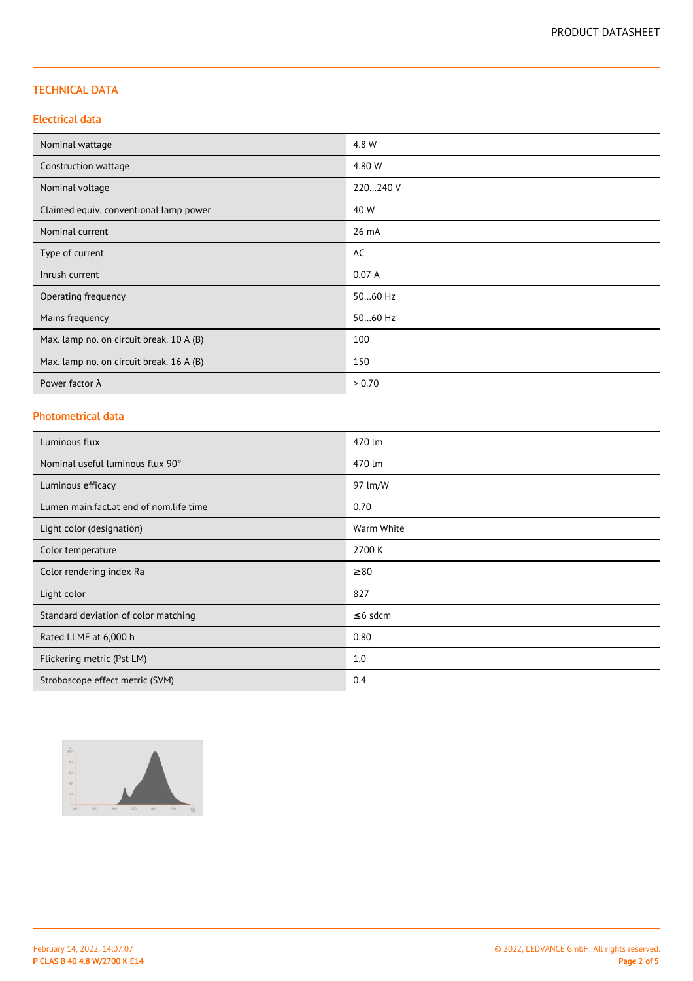#### TECHNICAL DATA

#### Electrical data

| Nominal wattage                          | 4.8 W    |
|------------------------------------------|----------|
| Construction wattage                     | 4.80 W   |
| Nominal voltage                          | 220240 V |
| Claimed equiv. conventional lamp power   | 40 W     |
| Nominal current                          | 26 mA    |
| Type of current                          | AC       |
| Inrush current                           | 0.07A    |
| Operating frequency                      | 5060 Hz  |
| Mains frequency                          | 5060 Hz  |
| Max. lamp no. on circuit break. 10 A (B) | 100      |
| Max. lamp no. on circuit break. 16 A (B) | 150      |
| Power factor $\lambda$                   | > 0.70   |

# Photometrical data

| Luminous flux                           | 470 lm        |
|-----------------------------------------|---------------|
| Nominal useful luminous flux 90°        | 470 lm        |
| Luminous efficacy                       | 97 lm/W       |
| Lumen main.fact.at end of nom.life time | 0.70          |
| Light color (designation)               | Warm White    |
| Color temperature                       | 2700 K        |
| Color rendering index Ra                | $\geq 80$     |
| Light color                             | 827           |
| Standard deviation of color matching    | $\leq$ 6 sdcm |
| Rated LLMF at 6,000 h                   | 0.80          |
| Flickering metric (Pst LM)              | 1.0           |
| Stroboscope effect metric (SVM)         | 0.4           |

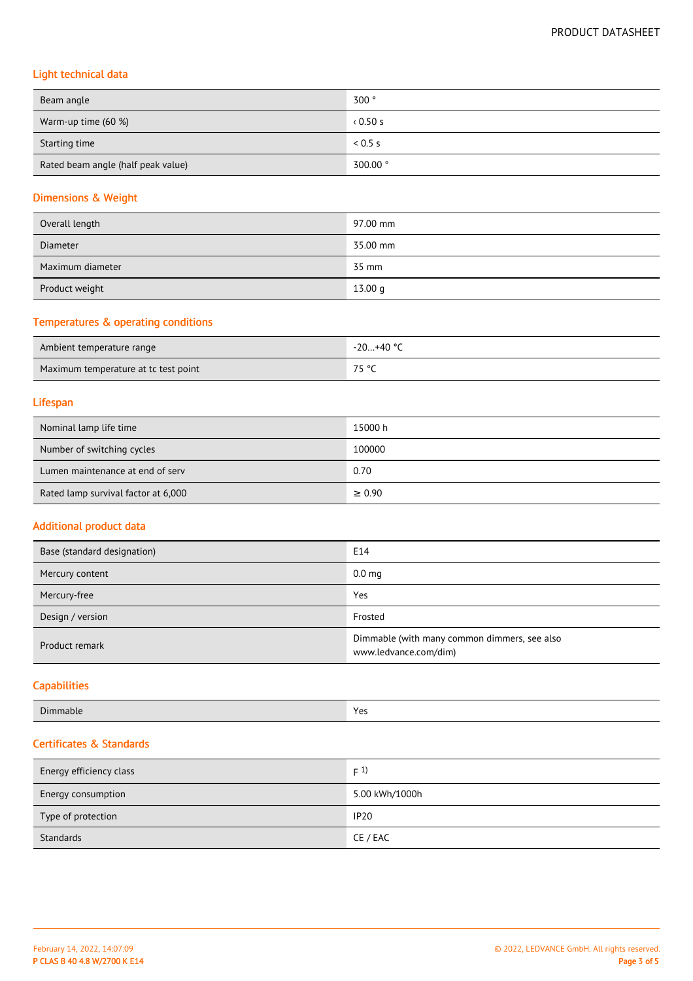# Light technical data

| Beam angle                         | 300°     |
|------------------------------------|----------|
| Warm-up time (60 %)                | 0.50 s   |
| Starting time                      | 0.5 s    |
| Rated beam angle (half peak value) | 300.00 ° |

# Dimensions & Weight

| Overall length   | 97.00 mm |
|------------------|----------|
| <b>Diameter</b>  | 35.00 mm |
| Maximum diameter | 35 mm    |
| Product weight   | 13.00 g  |

# Temperatures & operating conditions

| Ambient temperature range            | $3+40$ °<br>$-20$ |
|--------------------------------------|-------------------|
| Maximum temperature at tc test point | 7F.9C             |

#### Lifespan

| Nominal lamp life time              | 15000 h     |
|-------------------------------------|-------------|
| Number of switching cycles          | 100000      |
| Lumen maintenance at end of serv    | 0.70        |
| Rated lamp survival factor at 6,000 | $\geq 0.90$ |

#### Additional product data

| Base (standard designation) | E14                                                                   |
|-----------------------------|-----------------------------------------------------------------------|
| Mercury content             | 0.0 <sub>mg</sub>                                                     |
| Mercury-free                | Yes                                                                   |
| Design / version            | Frosted                                                               |
| Product remark              | Dimmable (with many common dimmers, see also<br>www.ledvance.com/dim) |

# **Capabilities**

| Dir   | <b>More</b> |
|-------|-------------|
| manie | .           |
|       |             |

## Certificates & Standards

| Energy efficiency class | F(1)           |
|-------------------------|----------------|
| Energy consumption      | 5.00 kWh/1000h |
| Type of protection      | <b>IP20</b>    |
| Standards               | CE / EAC       |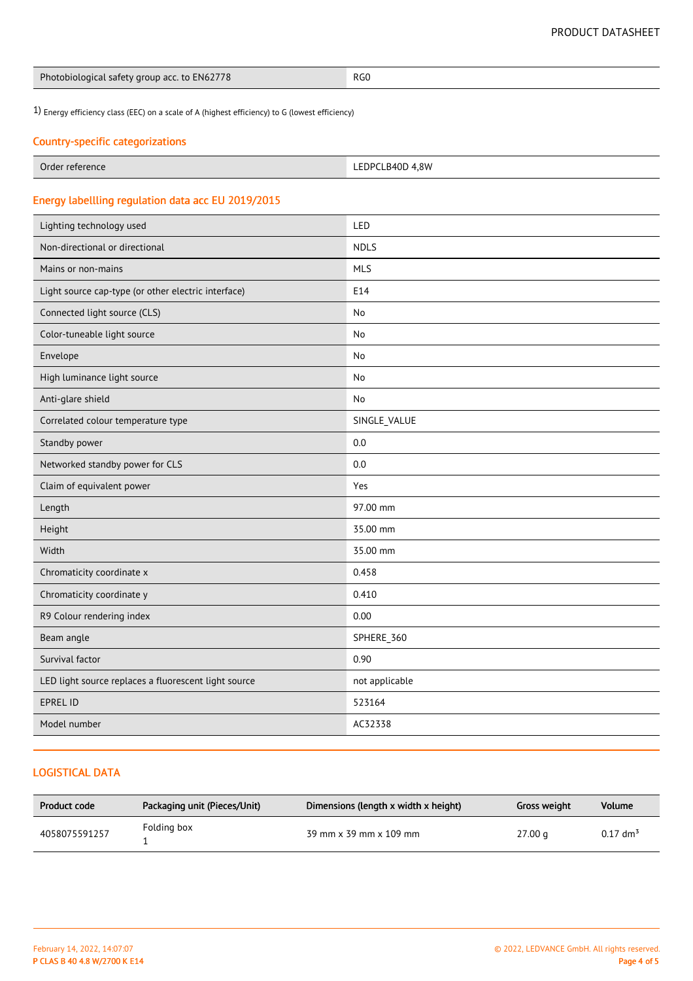| Photobiological safety group acc. to EN62778 | RG0 |
|----------------------------------------------|-----|
|----------------------------------------------|-----|

1) Energy efficiency class (EEC) on a scale of A (highest efficiency) to G (lowest efficiency)

# Country-specific categorizations

| Order      | PCLB40D 4.8W  |
|------------|---------------|
| reference  | <b>LEDPC'</b> |
| __________ |               |

# Energy labellling regulation data acc EU 2019/2015

| Lighting technology used                             | LED            |
|------------------------------------------------------|----------------|
| Non-directional or directional                       | <b>NDLS</b>    |
| Mains or non-mains                                   | <b>MLS</b>     |
| Light source cap-type (or other electric interface)  | E14            |
| Connected light source (CLS)                         | <b>No</b>      |
| Color-tuneable light source                          | No             |
| Envelope                                             | No             |
| High luminance light source                          | No             |
| Anti-glare shield                                    | No             |
| Correlated colour temperature type                   | SINGLE_VALUE   |
| Standby power                                        | 0.0            |
| Networked standby power for CLS                      | 0.0            |
| Claim of equivalent power                            | Yes            |
| Length                                               | 97.00 mm       |
| Height                                               | 35.00 mm       |
| Width                                                | 35.00 mm       |
| Chromaticity coordinate x                            | 0.458          |
| Chromaticity coordinate y                            | 0.410          |
| R9 Colour rendering index                            | 0.00           |
| Beam angle                                           | SPHERE_360     |
| Survival factor                                      | 0.90           |
| LED light source replaces a fluorescent light source | not applicable |
| <b>EPREL ID</b>                                      | 523164         |
| Model number                                         | AC32338        |

### LOGISTICAL DATA

| Product code  | Packaging unit (Pieces/Unit) | Dimensions (length x width x height) | Gross weight | Volume                 |
|---------------|------------------------------|--------------------------------------|--------------|------------------------|
| 4058075591257 | Folding box                  | 39 mm x 39 mm x 109 mm               | 27.00 a      | $0.17$ dm <sup>3</sup> |